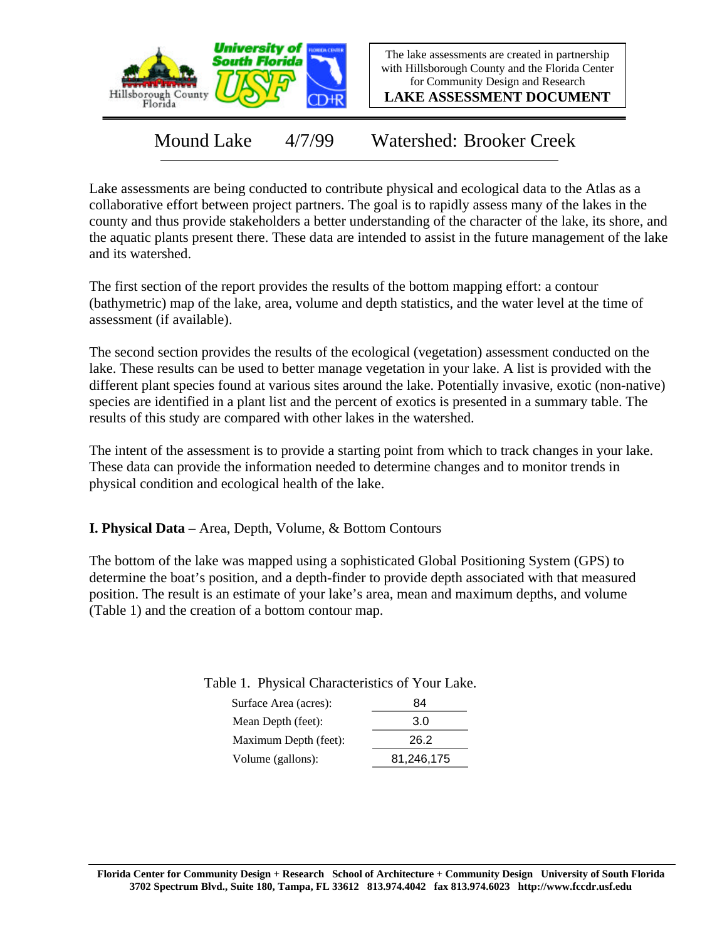

The lake assessments are created in partnership with Hillsborough County and the Florida Center for Community Design and Research

**LAKE ASSESSMENT DOCUMENT**

Mound Lake 4/7/99 Watershed: Brooker Creek

Lake assessments are being conducted to contribute physical and ecological data to the Atlas as a collaborative effort between project partners. The goal is to rapidly assess many of the lakes in the county and thus provide stakeholders a better understanding of the character of the lake, its shore, and the aquatic plants present there. These data are intended to assist in the future management of the lake and its watershed.

The first section of the report provides the results of the bottom mapping effort: a contour (bathymetric) map of the lake, area, volume and depth statistics, and the water level at the time of assessment (if available).

The second section provides the results of the ecological (vegetation) assessment conducted on the lake. These results can be used to better manage vegetation in your lake. A list is provided with the different plant species found at various sites around the lake. Potentially invasive, exotic (non-native) species are identified in a plant list and the percent of exotics is presented in a summary table. The results of this study are compared with other lakes in the watershed.

The intent of the assessment is to provide a starting point from which to track changes in your lake. These data can provide the information needed to determine changes and to monitor trends in physical condition and ecological health of the lake.

**I. Physical Data –** Area, Depth, Volume, & Bottom Contours

The bottom of the lake was mapped using a sophisticated Global Positioning System (GPS) to determine the boat's position, and a depth-finder to provide depth associated with that measured position. The result is an estimate of your lake's area, mean and maximum depths, and volume (Table 1) and the creation of a bottom contour map.

Table 1. Physical Characteristics of Your Lake.

| 84         |
|------------|
| 3.0        |
| 26.2       |
| 81,246,175 |
|            |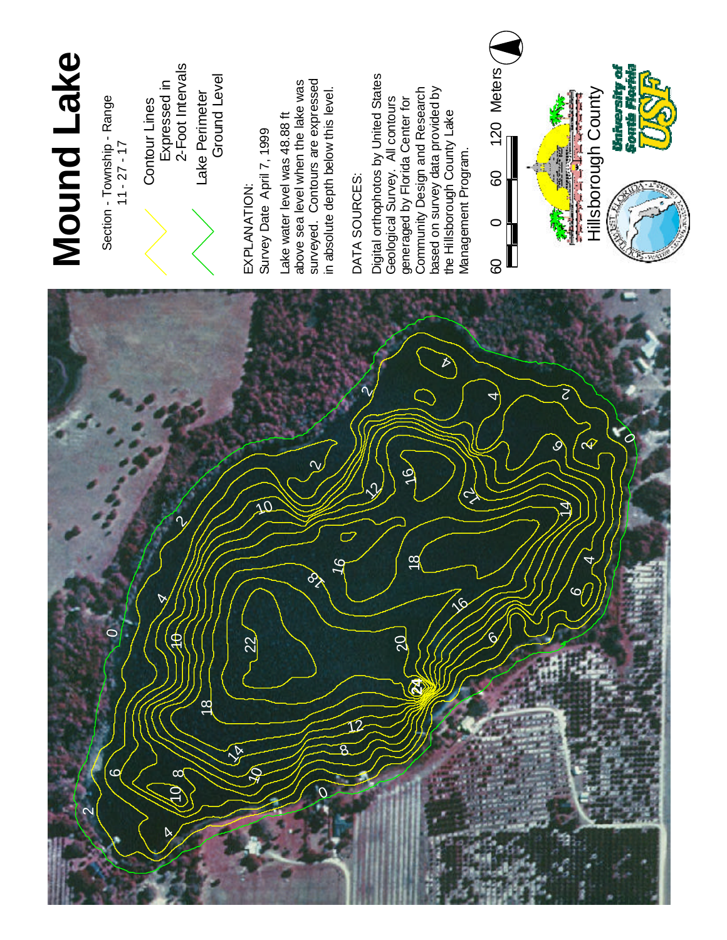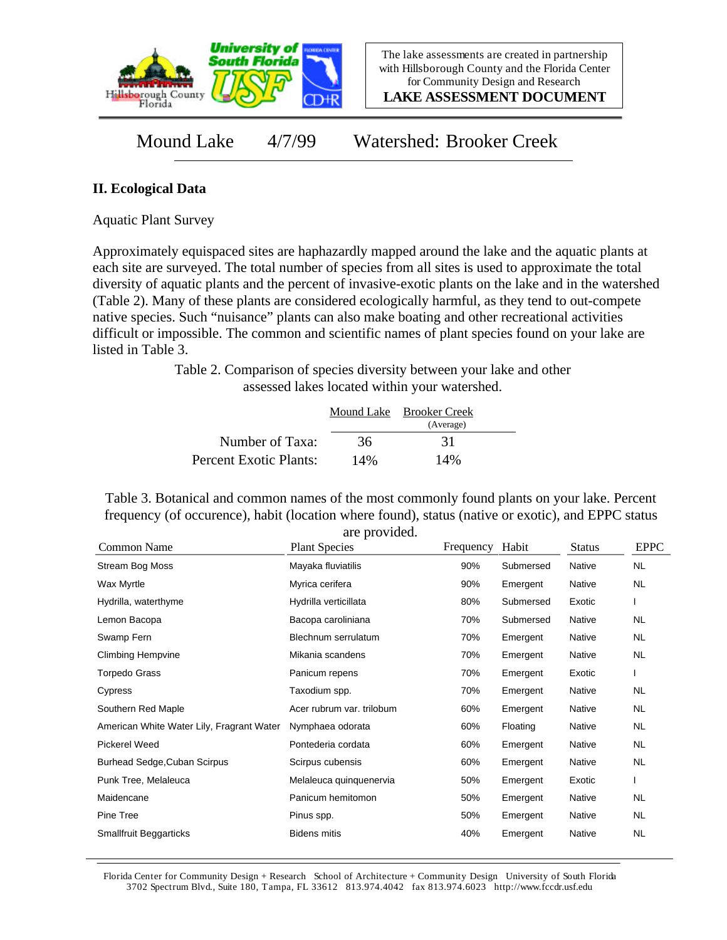

**LAKE ASSESSMENT DOCUMENT**

Mound Lake 4/7/99 Watershed: Brooker Creek

## **II. Ecological Data**

Aquatic Plant Survey

Approximately equispaced sites are haphazardly mapped around the lake and the aquatic plants at each site are surveyed. The total number of species from all sites is used to approximate the total diversity of aquatic plants and the percent of invasive-exotic plants on the lake and in the watershed (Table 2). Many of these plants are considered ecologically harmful, as they tend to out-compete native species. Such "nuisance" plants can also make boating and other recreational activities difficult or impossible. The common and scientific names of plant species found on your lake are listed in Table 3.

> Table 2. Comparison of species diversity between your lake and other assessed lakes located within your watershed.

|                        |     | Mound Lake Brooker Creek |  |
|------------------------|-----|--------------------------|--|
|                        |     | (Average)                |  |
| Number of Taxa:        | 36  | 31                       |  |
| Percent Exotic Plants: | 14% | 14%                      |  |

Table 3. Botanical and common names of the most commonly found plants on your lake. Percent frequency (of occurence), habit (location where found), status (native or exotic), and EPPC status are provided.

| Common Name                               | <b>Plant Species</b>      | Frequency | Habit     | <b>Status</b> | <b>EPPC</b> |
|-------------------------------------------|---------------------------|-----------|-----------|---------------|-------------|
| Stream Bog Moss                           | Mayaka fluviatilis        | 90%       | Submersed | Native        | <b>NL</b>   |
| Wax Myrtle                                | Myrica cerifera           | 90%       | Emergent  | Native        | NL          |
| Hydrilla, waterthyme                      | Hydrilla verticillata     | 80%       | Submersed | Exotic        |             |
| Lemon Bacopa                              | Bacopa caroliniana        | 70%       | Submersed | Native        | NL.         |
| Swamp Fern                                | Blechnum serrulatum       | 70%       | Emergent  | Native        | NL.         |
| <b>Climbing Hempvine</b>                  | Mikania scandens          | 70%       | Emergent  | Native        | NL          |
| Torpedo Grass                             | Panicum repens            | 70%       | Emergent  | Exotic        |             |
| Cypress                                   | Taxodium spp.             | 70%       | Emergent  | Native        | <b>NL</b>   |
| Southern Red Maple                        | Acer rubrum var. trilobum | 60%       | Emergent  | Native        | NL.         |
| American White Water Lily, Fragrant Water | Nymphaea odorata          | 60%       | Floating  | Native        | NL.         |
| <b>Pickerel Weed</b>                      | Pontederia cordata        | 60%       | Emergent  | Native        | NL          |
| Burhead Sedge, Cuban Scirpus              | Scirpus cubensis          | 60%       | Emergent  | Native        | NL          |
| Punk Tree, Melaleuca                      | Melaleuca quinquenervia   | 50%       | Emergent  | Exotic        |             |
| Maidencane                                | Panicum hemitomon         | 50%       | Emergent  | Native        | NL.         |
| Pine Tree                                 | Pinus spp.                | 50%       | Emergent  | Native        | NL.         |
| Smallfruit Beggarticks                    | <b>Bidens mitis</b>       | 40%       | Emergent  | Native        | <b>NL</b>   |

Florida Center for Community Design + Research School of Architecture + Community Design University of South Florida 3702 Spectrum Blvd., Suite 180, Tampa, FL 33612 813.974.4042 fax 813.974.6023 http://www.fccdr.usf.edu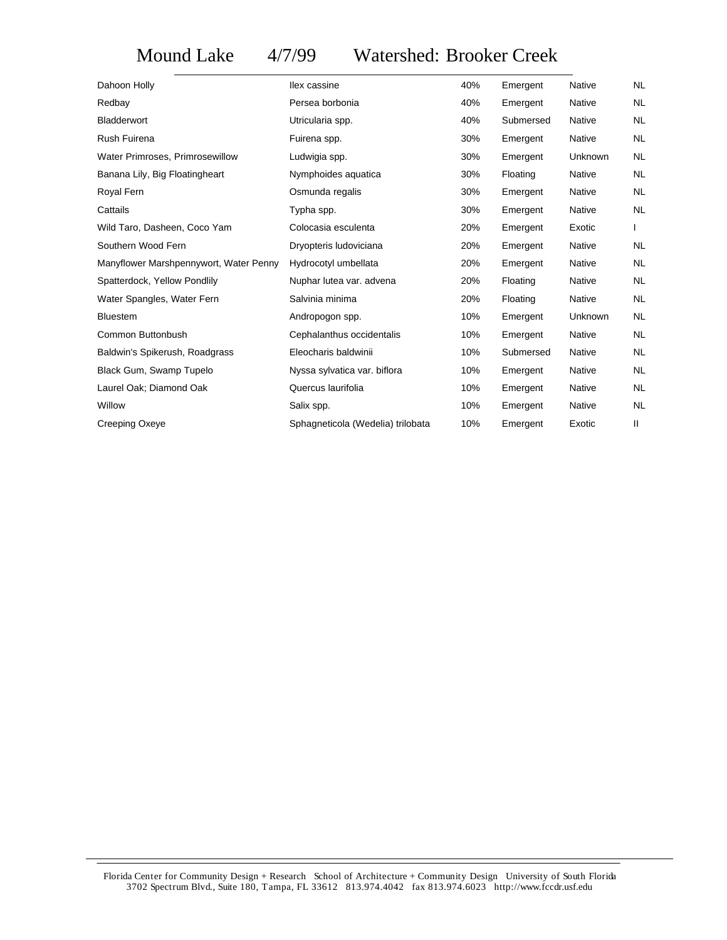## Mound Lake 4/7/99 Watershed: Brooker Creek

| Dahoon Holly                           | llex cassine                      | 40% | Emergent  | Native        | NL.       |
|----------------------------------------|-----------------------------------|-----|-----------|---------------|-----------|
| Redbay                                 | Persea borbonia                   | 40% | Emergent  | <b>Native</b> | NL.       |
| <b>Bladderwort</b>                     | Utricularia spp.                  | 40% | Submersed | Native        | NL.       |
| Rush Fuirena                           | Fuirena spp.                      | 30% | Emergent  | Native        | NL.       |
| Water Primroses, Primrosewillow        | Ludwigia spp.                     | 30% | Emergent  | Unknown       | NL.       |
| Banana Lily, Big Floatingheart         | Nymphoides aquatica               | 30% | Floating  | Native        | <b>NL</b> |
| Royal Fern                             | Osmunda regalis                   | 30% | Emergent  | Native        | NL.       |
| Cattails                               | Typha spp.                        | 30% | Emergent  | Native        | NL.       |
| Wild Taro, Dasheen, Coco Yam           | Colocasia esculenta               | 20% | Emergent  | Exotic        |           |
| Southern Wood Fern                     | Dryopteris Iudoviciana            | 20% | Emergent  | Native        | NL.       |
| Manyflower Marshpennywort, Water Penny | Hydrocotyl umbellata              | 20% | Emergent  | <b>Native</b> | NL.       |
| Spatterdock, Yellow Pondlily           | Nuphar lutea var. advena          | 20% | Floating  | Native        | NL.       |
| Water Spangles, Water Fern             | Salvinia minima                   | 20% | Floating  | Native        | NL.       |
| <b>Bluestem</b>                        | Andropogon spp.                   | 10% | Emergent  | Unknown       | NL.       |
| Common Buttonbush                      | Cephalanthus occidentalis         | 10% | Emergent  | <b>Native</b> | <b>NL</b> |
| Baldwin's Spikerush, Roadgrass         | Eleocharis baldwinii              | 10% | Submersed | Native        | NL.       |
| Black Gum, Swamp Tupelo                | Nyssa sylvatica var. biflora      | 10% | Emergent  | Native        | <b>NL</b> |
| Laurel Oak; Diamond Oak                | Quercus laurifolia                | 10% | Emergent  | Native        | NL.       |
| Willow                                 | Salix spp.                        | 10% | Emergent  | Native        | NL.       |
| Creeping Oxeye                         | Sphagneticola (Wedelia) trilobata | 10% | Emergent  | Exotic        | Ш         |
|                                        |                                   |     |           |               |           |